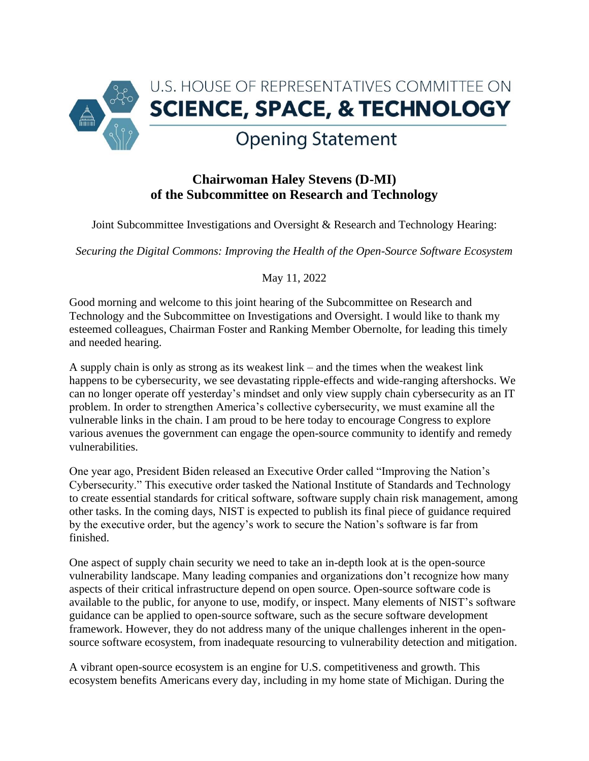

## **Chairwoman Haley Stevens (D-MI) of the Subcommittee on Research and Technology**

Joint Subcommittee Investigations and Oversight & Research and Technology Hearing:

*Securing the Digital Commons: Improving the Health of the Open-Source Software Ecosystem*

## May 11, 2022

Good morning and welcome to this joint hearing of the Subcommittee on Research and Technology and the Subcommittee on Investigations and Oversight. I would like to thank my esteemed colleagues, Chairman Foster and Ranking Member Obernolte, for leading this timely and needed hearing.

A supply chain is only as strong as its weakest link – and the times when the weakest link happens to be cybersecurity, we see devastating ripple-effects and wide-ranging aftershocks. We can no longer operate off yesterday's mindset and only view supply chain cybersecurity as an IT problem. In order to strengthen America's collective cybersecurity, we must examine all the vulnerable links in the chain. I am proud to be here today to encourage Congress to explore various avenues the government can engage the open-source community to identify and remedy vulnerabilities.

One year ago, President Biden released an Executive Order called "Improving the Nation's Cybersecurity." This executive order tasked the National Institute of Standards and Technology to create essential standards for critical software, software supply chain risk management, among other tasks. In the coming days, NIST is expected to publish its final piece of guidance required by the executive order, but the agency's work to secure the Nation's software is far from finished.

One aspect of supply chain security we need to take an in-depth look at is the open-source vulnerability landscape. Many leading companies and organizations don't recognize how many aspects of their critical infrastructure depend on open source. Open-source software code is available to the public, for anyone to use, modify, or inspect. Many elements of NIST's software guidance can be applied to open-source software, such as the secure software development framework. However, they do not address many of the unique challenges inherent in the opensource software ecosystem, from inadequate resourcing to vulnerability detection and mitigation.

A vibrant open-source ecosystem is an engine for U.S. competitiveness and growth. This ecosystem benefits Americans every day, including in my home state of Michigan. During the